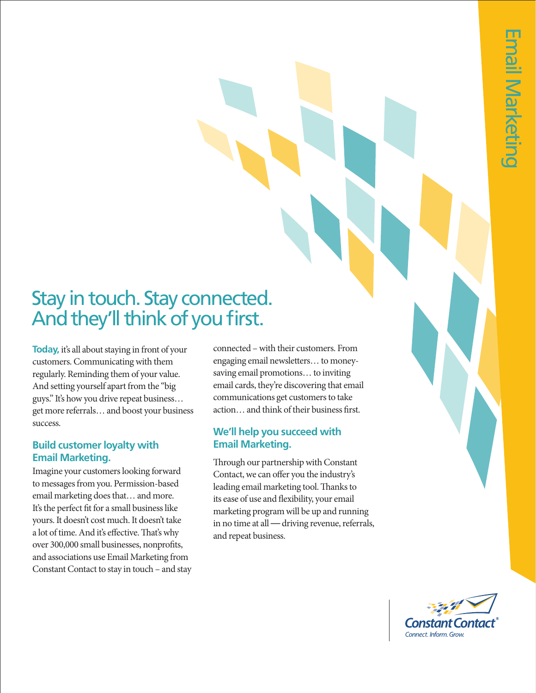# Stay in touch. Stay connected. And they'll think of you first.

**Today,** it's all about staying in front of your customers. Communicating with them regularly. Reminding them of your value. And setting yourself apart from the "big guys." It's how you drive repeat business… get more referrals… and boost your business success.

## **Build customer loyalty with Email Marketing.**

Imagine your customers looking forward to messages from you. Permission-based email marketing does that… and more. It's the perfect fit for a small business like yours. It doesn't cost much. It doesn't take a lot of time. And it's effective. That's why over 300,000 small businesses, nonprofits, and associations use Email Marketing from Constant Contact to stay in touch – and stay connected – with their customers. From engaging email newsletters… to moneysaving email promotions… to inviting email cards, they're discovering that email communications get customers to take action… and think of their business first.

# **We'll help you succeed with Email Marketing.**

Through our partnership with Constant Contact, we can offer you the industry's leading email marketing tool. Thanks to its ease of use and flexibility, your email marketing program will be up and running in no time at all — driving revenue, referrals, and repeat business.